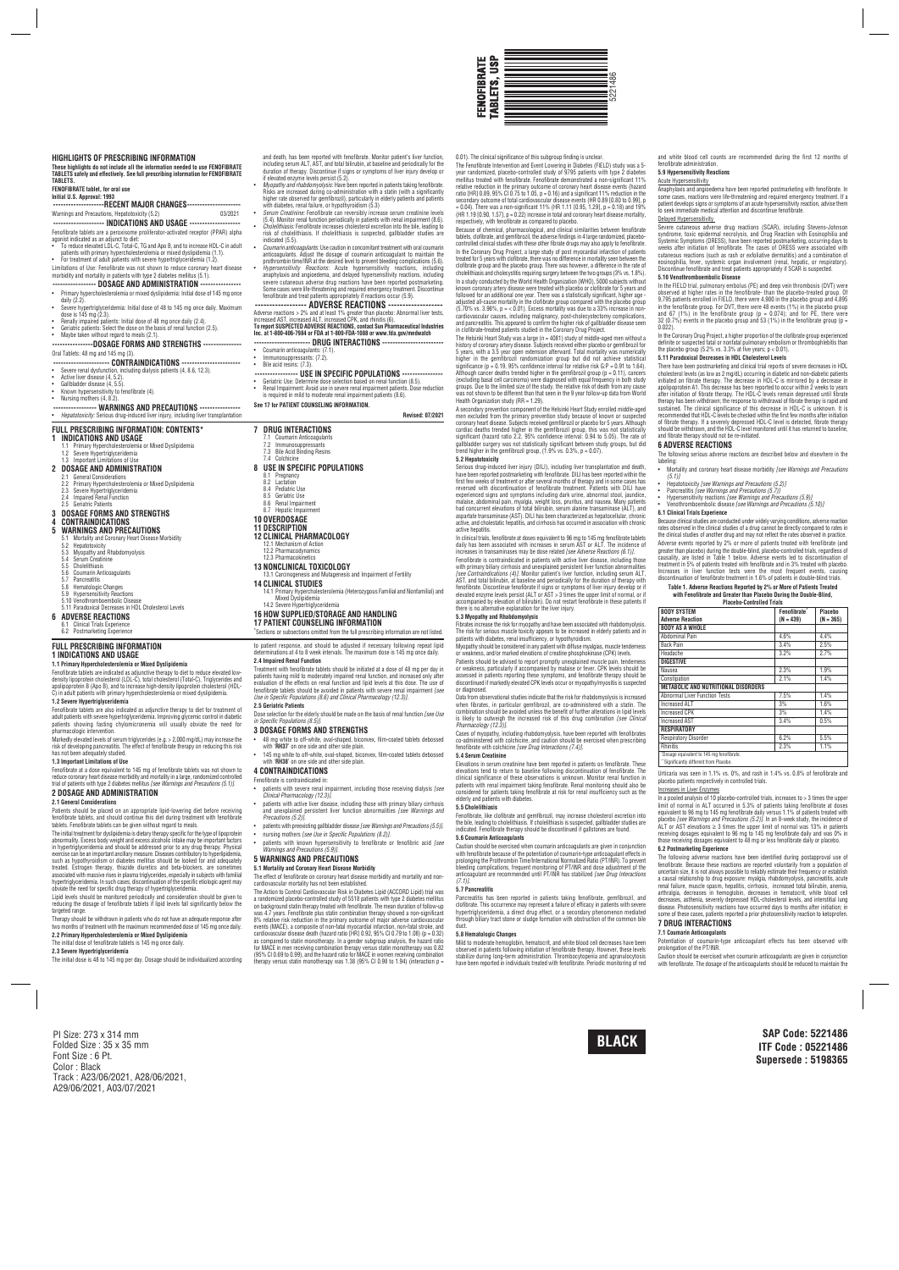0.01). The clinical significance of this subgroup finding is unclear.

Because of chemical, pharmacological, and clinical similarities between fenofibrate tablets, clofibrate, and gemfibrozil, the adverse findings in 4 large randomized, placebocontrolled clinical studies with these other fibrate drugs may also apply to fenofibrate. In the Coronary Drug Project, a large study of post myocardial infarction of patients treated for 5 years with clofibrate, there was no difference in mortality seen between the clofibrate group and the placebo group. There was however, a difference in the rate of cholelithiasis and cholecystitis requiring surgery between the two groups (3% vs. 1.8%). In a study conducted by the World Health Organization (WHO), 5000 subjects without<br>known coronary artery disease were treated with placebo or clofibrate for 5 years and<br>followed for an additional one year. There was a stat adjusted all-cause mortality in the clofibrate group compared with the placebo group (5.70% vs. 3.96%, p = < 0.01). Excess mortality was due to a 33% increase in noncardiovascular causes, including malignancy, post-cholecystectomy complications,<br>and pancreatitis. This appeared to confirm the higher risk of gallbladder disease seen<br>in clofibrate-treated patients studied in the Coronary The Helsinki Heart Study was a large (n = 4081) study of middle-aged men without a history of coronary artery disease. Subjects received either placebo or gemtibrozil for<br>5 years, with a 3.5 year open extension afterward. Total mortality was numerically<br>higher in the gemfibrozil randomization group

significance (p. = 0.19, 95% contidence interval for relative risk G:P = 0.91 to 1.64).<br>Although cancer deaths trended higher in the gemfibrozil group (p = 0.11), cancers<br>(excluding basal cell carcinoma) were diagnosed wit

respectively, with fenofibrate as compared to placebo.

Health Organization study (RR = 1.29).

A secondary prevention component of the Helsinki Heart Study enrolled middle-aged<br>men excluded from the primary prevention study because of known or suspected<br>coronary heart disease. Subjects received gemfibrozil or placeb cardiac deaths trended higher in the gemfibrozil group, this was not statistically significant (hazard ratio 2.2, 95% confidence interval: 0.94 to 5.05). The rate of gallbladder surgery was not statistically significant between study groups, but did trend higher in the gemfibrozil group, (1.9% vs. 0.3%, p = 0.07).

Data from observational studies indicate that the risk for rhabdomyolysis is increased when fibrates, in particular gemfibrozil, are co-administered with a statin. The combination should be avoided unless the benefit of further alterations in lipid levels is likely to outweigh the increased risk of this drug combination *[see Clinical*

**5.2 Hepatotoxicity**

Elevations in serum creatinine have been reported in patients on fenofibrate. These<br>elevations tend to return to baseline following discontinuation of fenofibrate. The<br>clinical significance of these observations is unknown patients with renal impairment taking fenofibrate. Renal monitoring should also be considered for patients taking fenofibrate at risk for renal insufficiency such as the

Serious drug-induced liver injury (DILI), including liver transplantation and death, have been reported postmarketing with fenofibrate. DILI has been reported within the first few weeks of treatment or after several months of therapy and in some cases has reversed with discontinuation of fenofibrate treatment. Patients with DILI have experienced signs and symptoms including dark urine, abnormal stool, jaundice,<br>malaise, abdominal pain, myalgia, weight loss, pruritus, and nausea. Many patients<br>had concurrent elevations of total bilirubin, serum alanine aspartate transaminase (AST). DILI has been characterized as hepatocellular, chronic active, and cholestatic hepatitis, and cirrhosis has occurred in association with chronic

In clinical trials, fenofibrate at doses equivalent to 96 mg to 145 mg fenofibrate tablets<br>daily has been associated with increases in serum AST or ALT. The incidence of<br>increases in transaminases may be dose related *[see* Fenofibrate is contraindicated in patients with active liver disease, including those with primary biliary cirrhosis and unexplained persistent liver function abnormalities *[see Contraindications (4)]*. Monitor patient's liver function, including serum ALT, AST, and total bilirubin, at baseline and periodically for the duration of therapy with fenofibrate. Discontinue fenofibrate if signs or symptoms of liver injury develop or if<br>elevated enzyme levels persist (ALT or AST > 3 times the upper limit of normal, or if<br>accompanied by elevation of bilirubin). Do not r

Pancreatitis has been reported in patients taking fenofibrate, gemfibrozil, and<br>clofibrate. This occurrence may represent a failure of efficacy in patients with severe<br>hypertriglyceridemia, a direct drug effect, or a secon through biliary tract stone or sludge formation with obstruction of the common bile

active hepatitis.

Anaphylaxis and angioedema have been reported postmarketing with fenofibrate. In some cases, reactions were life-threatening and required emergency treatment. If a<br>patient develops signs or symptoms of an acute hypersensitivity reaction, advise them<br>to seek immediate medical attention and discontinue f

Severe cutaneous adverse drug reactions (SCAR), including Stevens-Johns syndrome, toxic epidermal necrolysis, and Drug Reaction with Eosinophilia and Systemic Symptoms (DRESS), have been reported postmarketing, occurring days to weeks after initiation of fenofibrate. The cases of DRESS were associated with cutaneous reactions (such as rash or extoliative dermatitis) and a combination of<br>eosinophilia, fever, systemic organ involvement (renal, hepatic, or respiratory).<br>Discontinue fenofibrate and treat patients appropriately i

In the FIELD trial, pulmonary embolus (PE) and deep vein thrombosis (DVT) were observed at higher rates in the fenofibrate- than the placebo-treated group. Of 9,795 patients enrolled in FIELD, there were 4,900 in the placebo group and 4,895<br>in the fenofibrate group. For DVT, there were 48 events (1%) in the placebo group<br>and 67 (1%) in the fenofibrate group (p = 0.074); and for

In the Coronary Drug Project, a higher proportion of the clofibrate group experienc definite or suspected fatal or nonfatal pulmonary embolism or thrombophlebitis than the placebo group (5.2% vs. 3.3% at five years; p < 0.01).

there is no alternative explanation for the liver injury. **5.3 Myopathy and Rhabdomyolysis**

- if elevated enzyme levels persist (5.2).<br>• Myopathy and rhabdomyolysis: Have been reported in patients taking fenofibrate.<br>• Myopathy and rhabdomyolysis: Have been reported in patients taking fenofibrate.<br>• Risks are incre
- *Serum Creatinine:* Fenofibrate can reversibly increase serum creatinine levels (5.4). Monitor renal function periodically in patients with renal impairment (8.6). • *Cholelithiasis:* Fenofibrate increases cholesterol excretion into the bile, leading to risk of cholelithiasis. If cholelithiasis is suspected, gallbladder studies are
- indicated (5.5). • *Coumarin anticoagulants:* Use caution in concomitant treatment with oral coumarin anticoagulants. Adjust the dosage of coumarin anticoagulant to maintain the
- prothrombin time/INR at the desired level to prevent bleeding complications (5.6).<br>Hypersensitivity Reactions: Acute hypersensitivity reactions, including الصور anaphylaxis and angioedema, and delayed hypersens severe cutaneous adverse drug reactions have been reported postmarketing. Some cases were life-threatening and required emergency treatment. Discontinue

## fenofibrate and treat patients appropriately if reactions occur (5.9).<br>---------------- ADVERSE REACTIONS

**---------------- ADVERSE REACTIONS**<br>Adverse reactions > 2% and at least 1% greater than placebo: Abnormal liver tests,<br>increased AST, increased ALT, increased CPK, and rhintlis (6).<br>To report SUSPECTED ADVERSE REACTIONS,

Fibrates increase the risk for myopathy and have been associated with rhabdomyolysis. The risk for serious muscle toxicity appears to be increased in elderly patients and in patients with diabetes, renal insufficiency, or hypothyroidism. Myopathy should be considered in any patient with diffuse myalgias, muscle tenderness or weakness, and/or marked elevations of creatine phosphokinase (CPK) levels. Patients should be advised to report promptly unexplained muscle pain, tenderness<br>or weakness, particularly if accompanied by malaise or fever. CPK levels should be<br>assessed in patients reporting these symptoms, and fenofi discontinued if markedly elevated CPK levels occur or myopathy/myositis is suspected

or diagnosed.

*Pharmacology (12.3)]*.

Cases of myopathy, including rhabdomyolysis, have been reported with fenofibrates co-administered with colchicine, and caution should be exercised when prescribing Abdominal Pain 1990 1991 11:00 12:00 14:00 14:00 14:00 14:00 14:00 14:00 14:00 14:00 14:00 14:00 14:00 14:00 1 Back Pain 2.5% Headache 3.2% 2.7%

Abnormal Liver Function Tests  $\begin{array}{ccc} 7.5\%^{**} & 1.4\% \end{array}$ <br>Increased ALT  $\begin{array}{ccc} 3\% & 1.6\% \end{array}$ Increased ALT 3% 1.6%

 $10^{\circ}$  and AST  $3.4\%$ <sup>\*\*</sup>  $10.5\%$ 

fenofibrate with colchicine *[see Drug Interactions (7.4)]*.

Respiratory Disorder 6.2% 5.5%<br>
Rhinitis 2.3% 1.1% Rhinitis 2.3% 1.1%

**5.4 Serum Creatinine**

In a pooled analysis of 10 placebo-controlled trials, increases to  $>$  3 times the upper limit of normal in ALT occurred in 5.3% of patients taking fenofibrate at doses<br>equivalent to 96 mg to 145 mg fenofibrate daily versus 1.1% of patients treated with<br>placebo [*see Warnings and Precautions (5.2)].* In an 8-w receiving dosages equivalent to 96 mg to 145 mg fenofibrate daily and was 0% in those receiving dosages equivalent to 48 mg or less fenofibrate daily or placebo.

elderly and patients with diabetes. **5.5 Cholelithiasis**

Fenofibrate, like clofibrate and gemfibrozil, may increase cholesterol excretion into the bile, leading to cholelithiasis. If cholelithiasis is suspected, gallbladder studies are indicated. Fenofibrate therapy should be discontinued if gallstones are found.

Caution should be exercised when coumarin anticoagulants are given in conjunction<br>with fenofibrate because of the potentiation of coumarin-type anticoagulant effects in<br>prolonging the Prothrombin Time/International Normali

**5.6 Coumarin Anticoagulants**

Mild to moderate hemoglobin, hematocrit, and white blood cell decreases have been<br>observed in patients following initiation of fenofibrate therapy. However, these levels<br>stabilize during long-term administration. Thrombocy have been reported in individuals treated with fenofibrate. Periodic monitoring of red with fenofibrate. The dosage of the anticoagulants should be reduced to maintain the

*(7.1)]*. **5.7 Pancreatitis**

--------**-RECENT MAJOR CHANGES----------------------**<br>recautions. Hepatotoxicity (5.2) 03/2021 Warnings and Precautions, Hepatotoxicity (5.2) **-------------------- INDICATIONS AND USAGE --------------------**

Fenotibrate tablets are a peroxisome proliterator-activated receptor (PPAR) alpha<br>agonist indicated as an adjunct to diet:<br>• To reduce elevated LDL-C, Total-C, TG and Apo B, and to increase HDL-C in adult<br>• patients with p

duct.

The Fenotibrate Intervention and Event Lowering in Diabetes (FIELD) study was a 5-<br>year randomized, placebo-controlled study of 9795 patients with type 2 diabetes<br>mellitus treated with fenofibrate. Fenofibrate demonstrated relative reduction in the primary outcome of coronary heart disease events (hazard ratio [HR]  $0.89$ ,  $95\%$  CI 0.75 to 1.05,  $p = 0.16$ ) and a significant 11% reduction in the secondary outcome of total cardiovascular disease events (HR 0.89 [0.80 to 0.99], p<br>= 0.04). There was a non-significant 11% (HR 1.11 [0.95, 1.29], p = 0.18) and 19%<br>(HR 1.19 [0.90, 1.57], p = 0.22) increase in total and c

**5.8 Hematologic Changes**

- daily (2.2) • Severe hypertriglyceridemia: Initial dose of 48 to 145 mg once daily. Maximum dose is 145 mg (2.3).
- Renally impaired patients: Initial dose of 48 mg once daily (2.4).
- Geriatric patients: Select the dose on the basis of renal function (2.5). Maybe taken without regard to meals (2.1).
- **----------------DOSAGE FORMS AND STRENGTHS ---------------**

and white blood cell counts are recommended during the first 12 months of

fenofibrate administration. **5.9 Hypersensitivity Reactions** Acute Hypersensitivity

Delayed Hypersensitivity

**5.10 Venothromboembolic Disease**

**FULL PRESCRIBING INFORMATION: CONTENTS 1 INDICATIONS AND USAGE** 1.1 Primary Hypercholesterolemia or Mixed Dyslipidemia

0.022).

**5.11 Paradoxical Decreases in HDL Cholesterol Levels**

**14 CLINICAL STUDIES** mia (Heterozygous Familial and Nonfamilial) and

esis and Impairment of Fertility

14.1 Primary Hypercholeste<br>Mixed Dyslipidemia 14.2 Severe Hypertriglyceridemia There have been postmarketing and clinical trial reports of severe decreases in HDL cholesterol levels (as low as 2 mg/dL) occurring in diabetic and non-diabetic patients<br>initiated on fibrate therapy. The decrease in HDL-C is mirrored by a decrease in<br>apolipoprotein A1. This decrease has been reported to therapy has been withdrawn; the response to withdrawal of fibrate therapy is rapid and sustained. The clinical significance of this decrease in HDL-C is unknown. It is recommended that HDL-C levels be checked within the first few months after initiation of fibrate therapy. If a severely depressed HDL-C level is detected, fibrate therapy should be withdrawn, and the HDL-C level monitored until it has returned to baseline,

Markedly elevated levels of serum triglycerides (e.g. > 2,000 mg/dL) may increase the risk of developing pancreatitis. The effect of fenofibrate therapy on reducing this risk has not been adequately studied.

and fibrate therapy should not be re-initiated. **6 ADVERSE REACTIONS**

The following serious adverse reactions are described below and elsewhere in the

labeling:

The initial treatment for dyslipidemia is dietary therapy specific for the type of lipoprotein abnormality. Excess body weight and excess alcoholic intake may be important tactors<br>in hypertriglyceridemia and should be addressed prior to any drug therapy. Physical<br>exercise can be an important ancillary measure. Disea such as hypothyroidism or diabetes mellitus should be looked for and adequately treated. Estrogen therapy, thiazide diuretics and beta-blockers, are sometimes associated with massive rises in plasma triglycerides, especially in subjects with familial<br>hypertriglyceridemia. In such cases, discontinuation of the specific etiologic agent may<br>obviate the need for specific drug therap • Mortality and coronary heart disease morbidity *[see Warnings and Precautions*

*(5.1)]*

• Hepatotoxicity *[see Warnings and Precautions (5.2)]* • Pancreatitis *[see Warnings and Precautions (5.7)]* • Hypersensitivity reactions *[see Warnings and Precautions (5.9)]* • Venothromboembolic disease *[see Warnings and Precautions (5.10)]*

**6.1 Clinical Trials Experience**

Therapy should be withdrawn in patients who do not have an adequate response after two months of treatment with the maximum recommended dose of 145 mg once daily. **2.2 Primary Hypercholesterolemia or Mixed Dyslipidemia**

Because clinical studies are conducted under widely varying conditions, adverse reaction rates observed in the clinical studies of a drug cannot be directly compared to rates in the clinical studies of another drug and may not reflect the rates observed in practice. Adverse events reported by 2% or more of patients treated with fenofibrate (and<br>greater than placebo) during the double-blind, placebo-controlled trials, regardless of<br>causality, are listed in Table 1 below. Adverse events treatment in 5% of patients treated with fenofibrate and in 3% treated with placebo. Increases in liver function tests were the most frequent events, causing discontinuation of fenofibrate treatment in 1.6% of patients in double-blind trials. **Table 1. Adverse Reactions Reported by 2% or More of Patients Treated with Fenofibrate and Greater than Placebo During the Double-Blind, Placebo-Controlled Trials BODY SYSTEM Fenofibrate\* Placebo**

**Adverse Reaction (N = 439) (N = 365) BODY AS A WHOLE**

**DIGESTIVE**

Nausea 2.3% 1.9% Constipation 2.1% 1.4%

**METABOLIC AND NUTRITIONAL DISORDERS**

fenofibrate on coronary heart disease morbidity and mortality and noncardiovascular mortality has not been established.

**RESPIRATORY**

Dosage equivalent to 145 mg fenofibrate. \*\* Significantly different from Placebo.

**Increases in Liver Enzymes** 

Urticaria was seen in 1.1% vs. 0%, and rash in 1.4% vs. 0.8% of fenofibrate and

placebo patients respectively in controlled trials.

Increased CPK 3%

The Action to Control Cardiovascular Risk in Diabetes Lipid (ACCORD Lipid) trial was<br>a randomized placebo-controlled study of 5518 patients with type 2 diabetes mellitus<br>on background statin therapy treated with fenofibrat was 4.7 years. Fenofibrate plus statin combination therapy showed a non-significant 8% relative risk reduction in the primary outcome of major adverse cardiovascular events (MACE), a composite of non-fatal myocardial infarction, non-fatal stroke, and cardiovascular disease death (hazard ratio [HR] 0.92, 95% Cl 0.79 to 1.08) (p = 0.32)<br>as compared to statin monotherapy. In a gender subgroup analysis, the hazard ratio<br>for MACE in men receiving combination therapy versus (95% CI 0.69 to 0.99), and the hazard ratio for MACE in women receiving combination

The initial dose is 48 to 145 mg per day. Dosage should be indi

therapy versus statin monotherapy was 1.38 (95% CI 0.98 to 1.94) (interaction  $p =$ 

**6.2 Postmarketing Experience**

The following adverse reactions have been identified during postapproval use of fenofibrate. Because these reactions are reported voluntarily from a population of uncertain size, it is not always possible to reliably estimate their frequency or establish a causal relationship to drug exposure: myalgia, rhabdomyolysis, pancreatitis, acute renal failure, muscle spasm, hepatitis, cirrhosis, increased total bilirubin, anemia, arthralgia, decreases in hemoglobin, decreases in hematocrit, white blood cell decreases, asthenia, severely depressed HDL-cholesterol levels, and interstitial lung disease. Photosensitivity reactions have occurred days to months after initiation; in some of these cases, patients reported a prior photosensitivity reaction to ketoprofen.

**7 DRUG INTERACTIONS 7.1 Coumarin Anticoagulants**

Potentiation of coumarin-type anticoagulant effects has been observed with

.<br>Caution should be exercised when coumarin anticoagulants are given in co

prolongation of the PT/INR.

**FEN**

**OFIB R ATE** 

**TA BLET**

**S, U S P**

5221486

PI Size: 273 x 314 mm Folded Size : 35 x 35 mm Font Size : 6 Pt. Color : Black Track : A23/06/2021, A28/06/2021, A29/06/2021, A03/07/2021

### **HIGHLIGHTS OF PRESCRIBING INFORMATION**

**These highlights do not include all the information needed to use FENOFIBRATE TABLETS safely and effectively. See full prescribing information for FENOFIBRATE TABLETS.**

### **FENOFIBRATE tablet, for oral use**

**Initial U.S. Approval: 1993**

Limitations of Use: Fenofibrate was not shown to reduce coronary heart disease morbidity and mortality in patients with type 2 diabetes mellitus (5.1). **----------------- DOSAGE AND ADMINISTRATION ----------------**

### • Primary hypercholesterolemia or mixed dyslipidemia: Initial dose of 145 mg once

### Oral Tablets: 48 mg and 145 mg (3).

**---------------------- CONTRAINDICATIONS -----------------------**

- 
- Active liver disease (4, 5.2)
- Gallbladder disease (4, 5.5)
- Known hypersensitivity to fenofibrate (4). • Nursing mothers (4, 8.2).

# **----------------- WARNINGS AND PRECAUTIONS ----------------**

 $15(4, 8.6, 12.3)$ 

## ed liver injury, ind

and death, has been reported with fenofibrate. Monitor patient's liver function, including serum ALT, AST, and total bilirubin, at baseline and periodically for the duration of therapy. Discontinue if signs or symptoms of liver injury develop or

# **---------------------- DRUG INTERACTIONS ------------------------**

• Coumarin anticoagulants: (7.1).

- Immunosuppressants: (7.2). Bile acid resins: (7.3)
- **----------------- USE IN SPECIFIC POPULATIONS ----------------**

# • Geriatric Use: Determine dose selection based on renal function (8.5). • Renal Impairment: Avoid use in severe renal impairment patients. Dose reduction

is required in mild to moderate renal impairment patients (8.6). **See 17 for PATIENT COUNSELING INFORMATION.**

### **Revised: 07/2021**

## 1.2 Severe Hypertriglyceridemia 1.3 Important Limitations of Use

### **2 DOSAGE AND ADMINISTRATION**

2.1 General Considerations 2.2 Primary Hypercholesterolemia or Mixed Dyslipidemia

- 
- 2.3 Severe Hypertriglyceridemia 2.4 Impaired Renal Function

## 2.5 Geriatric Patients

**3 DOSAGE FORMS AND STRENGTHS 4 CONTRAINDICATIONS**

- 
- **5 WARNINGS AND PRECAUTIONS**
- 5.1 Mortality and Coronary Heart Disease Morbidity
- 5.2 Hepatotoxicity<br>5.3 Myopathy and<br>5.4 Serum Creatin
- 5.3 Myopathy and Rhabdomyolysis 5.4 Serum Creatinine 5.5 Cholelithiasis
- 
- 5.6 Coumarin Anticoagulants 5.7 Pancreatitis
- 5.8 Hematologic Changes
- 
- 5.9 Hypersensitivity Reactions 5.10 Venothromboembolic Disease 5.11 Paradoxical Decreases in HDL Cholesterol Levels
- **6 ADVERSE REACTIONS**
- 6.1 Clinical Trials Experience

### 6.2 Postmarketing Experience

**7 DRUG INTERACTIONS** 7.1 Coumarin Anticoagulants

### 7.2 Immunosuppressants **Bile Acid Binding Resins** 7.4 Colchicine **8 USE IN SPECIFIC POPULATIONS** 8.1 Pregnancy 8.2 Lactation 8.4 Pediatric Use 8.5 Geriatric Use 8.6 Renal Impairment 8.7 Hepatic Impairment

- **10 OVERDOSAGE 11 DESCRIPTION**
- **12 CLINICAL PHARMACOLOGY**
- 12.1 Mechanism of Action 12.2 Pharmacodynamics 12.3 Pharmacokinetics

## **13 NONCLINICAL TOXICOLOGY**

### **16 HOW SUPPLIED/STORAGE AND HANDLING**

**17 PATIENT COUNSELING INFORMATION \*** Sections or subsections omitted from the full prescribing information are not listed.

### **FULL PRESCRIBING INFORMATION 1 INDICATIONS AND USAGE**

#### **1.1 Primary Hypercholesterolemia or Mixed Dyslipidemia**

Fenofibrate tablets are indicated as adjunctive therapy to diet to reduce elevated lowdensity lipoprotein cholesterol (LDL-C), total cholesterol (Total-C), Triglycerides and apolipoprotein B (Apo B), and to increase high-density lipoprotein cholesterol (HDL-C) in adult patients with primary hypercholesterolemia or mixed dyslipidemia.

### **1.2 Severe Hypertriglyceridemia**

Fenofibrate tablets are also indicated as adjunctive therapy to diet for treatment of adult patients with severe hypertriglyceridemia. Improving glycemic control in diabetic patients showing fasting chylomicronemia will usually obviate the need for pharmacologic intervention.

#### **1.3 Important Limitations of Use**

Fenofibrate at a dose equivalent to 145 mg of fenofibrate tablets was not shown to<br>reduce coronary heart disease morbidity and mortality in a large, randomized controlled<br>trial of patients with type 2 diabetes mellitus *[s* 

### **2 DOSAGE AND ADMINISTRATION 2.1 General Considerations**

Patients should be placed on an appropriate lipid-lowering diet before receiving fenofibrate tablets, and should continue this diet during treatment with fenofibrate tablets. Fenofibrate tablets can be given without regard to meals.

Lipid levels should be monitored periodically and consideration should be given to reducing the dosage of fenofibrate tablets if lipid levels fall significantly below the targeted range.

The initial dose of fenofibrate tablets is 145 mg once daily.

**2.3 Severe Hypertriglyceridemia**

to patient response, and should be adjusted if necessary following repeat lipid determinations at 4 to 8 week intervals. The maximum dose is 145 mg once daily.

#### **2.4 Impaired Renal Function**

Treatment with fenofibrate tablets should be initiated at a dose of 48 mg per day in patients having mild to moderately impaired renal function, and increased only after evaluation of the effects on renal function and lipid levels at this dose. The use of fenofibrate tablets should be avoided in patients with severe renal impairment *[see Use in Specific Populations (8.6) and Clinical Pharmacology (12.3)].*

### **2.5 Geriatric Patients**

Dose selection for the elderly should be made on the basis of renal function *[see Use in Specific Populations (8.5)].*

### **3 DOSAGE FORMS AND STRENGTHS**

- 48 mg white to off-white, oval-shaped, biconvex, film-coated tablets debossed with '**RH37**' on one side and other side plain.
- 145 mg white to off-white, oval-shaped, biconvex, film-coated tablets debossed with '**RH38**' on one side and other side plain.

### **4 CONTRAINDICATIONS**

Fenofibrate is contraindicated in:

- patients with severe renal impairment, including those receiving dialysis *[see Clinical Pharmacology (12.3)].*
- patients with active liver disease, including those with primary biliary cirrhosis and unexplained persistent liver function abnormalities *[see Warnings and*
- *Precautions (5.2)].* • patients with preexisting gallbladder disease *[see Warnings and Precautions (5.5)]*.
- nursing mothers *[see Use in Specific Populations (8.2)]*.
- patients with known hypersensitivity to fenofibrate or fenofibric acid *[see Warnings and Precautions (5.9)].* **5 WARNINGS AND PRECAUTIONS**

### **5.1 Mortality and Coronary Heart Disease Morbidity**

**SAP Code: 5221486 ITF Code : 05221486 Supersede : 5198365**